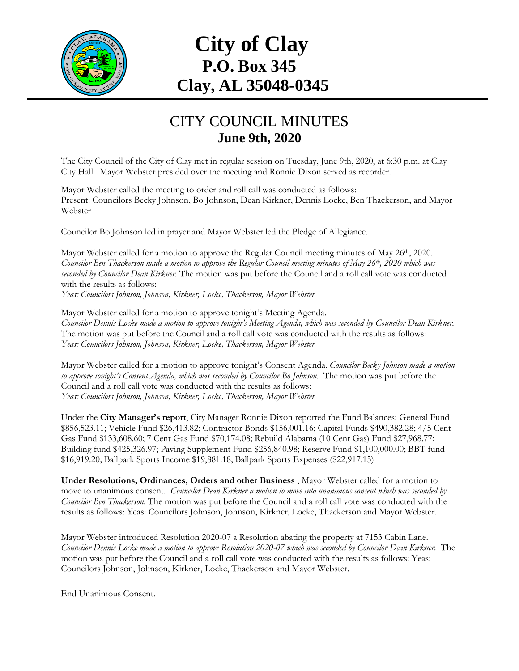

## **City of Clay P.O. Box 345 Clay, AL 35048-0345**

## CITY COUNCIL MINUTES **June 9th, 2020**

The City Council of the City of Clay met in regular session on Tuesday, June 9th, 2020, at 6:30 p.m. at Clay City Hall. Mayor Webster presided over the meeting and Ronnie Dixon served as recorder.

Mayor Webster called the meeting to order and roll call was conducted as follows: Present: Councilors Becky Johnson, Bo Johnson, Dean Kirkner, Dennis Locke, Ben Thackerson, and Mayor Webster

Councilor Bo Johnson led in prayer and Mayor Webster led the Pledge of Allegiance.

Mayor Webster called for a motion to approve the Regular Council meeting minutes of May 26<sup>th</sup>, 2020. *Councilor Ben Thackerson made a motion to approve the Regular Council meeting minutes of May 26th, 2020 which was seconded by Councilor Dean Kirkner.* The motion was put before the Council and a roll call vote was conducted with the results as follows: *Yeas: Councilors Johnson, Johnson, Kirkner, Locke, Thackerson, Mayor Webster* 

Mayor Webster called for a motion to approve tonight's Meeting Agenda. *Councilor Dennis Locke made a motion to approve tonight's Meeting Agenda, which was seconded by Councilor Dean Kirkner.*  The motion was put before the Council and a roll call vote was conducted with the results as follows: *Yeas: Councilors Johnson, Johnson, Kirkner, Locke, Thackerson, Mayor Webster*

Mayor Webster called for a motion to approve tonight's Consent Agenda. *Councilor Becky Johnson made a motion to approve tonight's Consent Agenda, which was seconded by Councilor Bo Johnson.* The motion was put before the Council and a roll call vote was conducted with the results as follows: *Yeas: Councilors Johnson, Johnson, Kirkner, Locke, Thackerson, Mayor Webster*

Under the **City Manager's report**, City Manager Ronnie Dixon reported the Fund Balances: General Fund \$856,523.11; Vehicle Fund \$26,413.82; Contractor Bonds \$156,001.16; Capital Funds \$490,382.28; 4/5 Cent Gas Fund \$133,608.60; 7 Cent Gas Fund \$70,174.08; Rebuild Alabama (10 Cent Gas) Fund \$27,968.77; Building fund \$425,326.97; Paving Supplement Fund \$256,840.98; Reserve Fund \$1,100,000.00; BBT fund \$16,919.20; Ballpark Sports Income \$19,881.18; Ballpark Sports Expenses (\$22,917.15)

**Under Resolutions, Ordinances, Orders and other Business** , Mayor Webster called for a motion to move to unanimous consent. *Councilor Dean Kirkner a motion to move into unanimous consent which was seconded by Councilor Ben Thackerson*. The motion was put before the Council and a roll call vote was conducted with the results as follows: Yeas: Councilors Johnson, Johnson, Kirkner, Locke, Thackerson and Mayor Webster.

Mayor Webster introduced Resolution 2020-07 a Resolution abating the property at 7153 Cabin Lane. *Councilor Dennis Locke made a motion to approve Resolution 2020-07 which was seconded by Councilor Dean Kirkner.* The motion was put before the Council and a roll call vote was conducted with the results as follows: Yeas: Councilors Johnson, Johnson, Kirkner, Locke, Thackerson and Mayor Webster.

End Unanimous Consent.